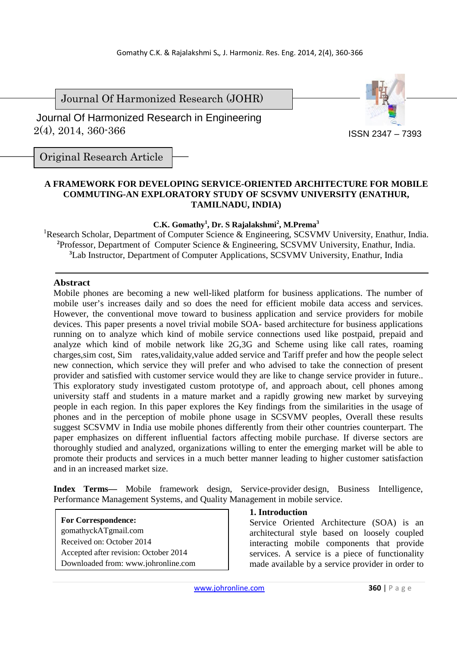Journal Of Harmonized Research (JOHR)

 2(4), 2014, 360-366 Journal Of Harmonized Research in Engineering



Original Research Article

### **A FRAMEWORK FOR DEVELOPING SERVICE-ORIENTED ARCHITECTURE FOR MOBILE COMMUTING-AN EXPLORATORY STUDY OF SCSVMV UNIVERSITY (ENATHUR, TAMILNADU, INDIA)**

### **C.K. Gomathy<sup>1</sup> , Dr. S Rajalakshmi<sup>2</sup> , M.Prema<sup>3</sup>**

<sup>1</sup>Research Scholar, Department of Computer Science & Engineering, SCSVMV University, Enathur, India. **2** Professor, Department of Computer Science & Engineering, SCSVMV University, Enathur, India. **<sup>3</sup>**Lab Instructor, Department of Computer Applications, SCSVMV University, Enathur, India

### **Abstract**

Mobile phones are becoming a new well-liked platform for business applications. The number of mobile user's increases daily and so does the need for efficient mobile data access and services. However, the conventional move toward to business application and service providers for mobile devices. This paper presents a novel trivial mobile SOA- based architecture for business applications running on to analyze which kind of mobile service connections used like postpaid, prepaid and analyze which kind of mobile network like 2G,3G and Scheme using like call rates, roaming charges,sim cost, Sim rates,validaity,value added service and Tariff prefer and how the people select new connection, which service they will prefer and who advised to take the connection of present provider and satisfied with customer service would they are like to change service provider in future.. This exploratory study investigated custom prototype of, and approach about, cell phones among university staff and students in a mature market and a rapidly growing new market by surveying people in each region. In this paper explores the Key findings from the similarities in the usage of phones and in the perception of mobile phone usage in SCSVMV peoples, Overall these results suggest SCSVMV in India use mobile phones differently from their other countries counterpart. The paper emphasizes on different influential factors affecting mobile purchase. If diverse sectors are thoroughly studied and analyzed, organizations willing to enter the emerging market will be able to promote their products and services in a much better manner leading to higher customer satisfaction and in an increased market size.

**Index Terms—** Mobile framework design, Service-provider design, Business Intelligence, Performance Management Systems, and Quality Management in mobile service.

**For Correspondence:**  gomathyckATgmail.com Received on: October 2014 Accepted after revision: October 2014 Downloaded from: www.johronline.com

### **1. Introduction**

Service Oriented Architecture (SOA) is an architectural style based on loosely coupled interacting mobile components that provide services. A service is a piece of functionality made available by a service provider in order to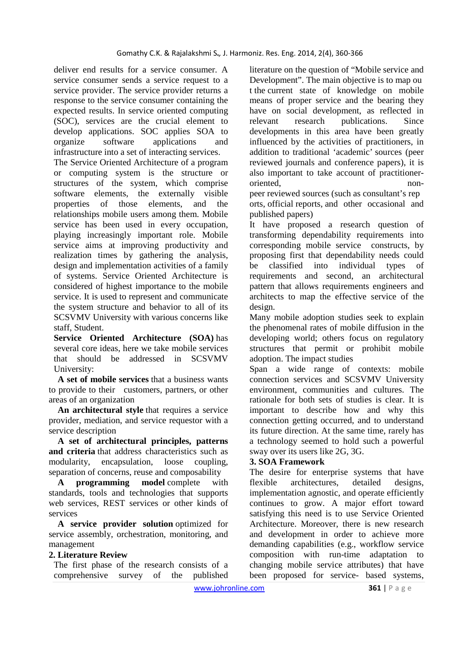deliver end results for a service consumer. A service consumer sends a service request to a service provider. The service provider returns a response to the service consumer containing the expected results. In service oriented computing (SOC), services are the crucial element to develop applications. SOC applies SOA to organize software applications and infrastructure into a set of interacting services.

The Service Oriented Architecture of a program or computing system is the structure or structures of the system, which comprise software elements, the externally visible properties of those elements, and the relationships mobile users among them. Mobile service has been used in every occupation, playing increasingly important role. Mobile service aims at improving productivity and realization times by gathering the analysis, design and implementation activities of a family of systems. Service Oriented Architecture is considered of highest importance to the mobile service. It is used to represent and communicate the system structure and behavior to all of its SCSVMV University with various concerns like staff, Student.

**Service Oriented Architecture (SOA)** has several core ideas, here we take mobile services that should be addressed in SCSVMV University:

 **A set of mobile services** that a business wants to provide to their customers, partners, or other areas of an organization

 **An architectural style** that requires a service provider, mediation, and service requestor with a service description

 **A set of architectural principles, patterns and criteria** that address characteristics such as modularity, encapsulation, loose coupling, separation of concerns, reuse and composability

 **A programming model** complete with standards, tools and technologies that supports web services, REST services or other kinds of services

 **A service provider solution** optimized for service assembly, orchestration, monitoring, and management

## **2. Literature Review**

The first phase of the research consists of a comprehensive survey of the published literature on the question of "Mobile service and Development". The main objective is to map ou t the current state of knowledge on mobile means of proper service and the bearing they have on social development, as reflected in relevant research publications. Since developments in this area have been greatly influenced by the activities of practitioners, in addition to traditional 'academic' sources (peer reviewed journals and conference papers), it is also important to take account of practitioneroriented,

peer reviewed sources (such as consultant's rep orts, official reports, and other occasional and published papers)

It have proposed a research question of transforming dependability requirements into corresponding mobile service constructs, by proposing first that dependability needs could be classified into individual types of requirements and second, an architectural pattern that allows requirements engineers and architects to map the effective service of the design.

Many mobile adoption studies seek to explain the phenomenal rates of mobile diffusion in the developing world; others focus on regulatory structures that permit or prohibit mobile adoption. The impact studies

Span a wide range of contexts: mobile connection services and SCSVMV University environment, communities and cultures. The rationale for both sets of studies is clear. It is important to describe how and why this connection getting occurred, and to understand its future direction. At the same time, rarely has a technology seemed to hold such a powerful sway over its users like 2G, 3G.

## **3. SOA Framework**

The desire for enterprise systems that have flexible architectures, detailed designs, implementation agnostic, and operate efficiently continues to grow. A major effort toward satisfying this need is to use Service Oriented Architecture. Moreover, there is new research and development in order to achieve more demanding capabilities (e.g., workflow service composition with run-time adaptation to changing mobile service attributes) that have been proposed for service- based systems,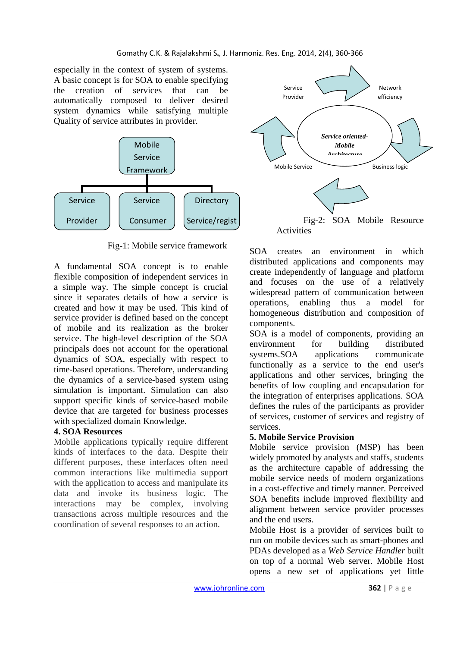especially in the context of system of systems. A basic concept is for SOA to enable specifying the creation of services that can be automatically composed to deliver desired system dynamics while satisfying multiple Quality of service attributes in provider.



Fig-1: Mobile service framework

A fundamental SOA concept is to enable flexible composition of independent services in a simple way. The simple concept is crucial since it separates details of how a service is created and how it may be used. This kind of service provider is defined based on the concept of mobile and its realization as the broker service. The high-level description of the SOA principals does not account for the operational dynamics of SOA, especially with respect to time-based operations. Therefore, understanding the dynamics of a service-based system using simulation is important. Simulation can also support specific kinds of service-based mobile device that are targeted for business processes with specialized domain Knowledge.

## **4. SOA Resources**

Mobile applications typically require different kinds of interfaces to the data. Despite their different purposes, these interfaces often need common interactions like multimedia support with the application to access and manipulate its data and invoke its business logic. The interactions may be complex, involving transactions across multiple resources and the coordination of several responses to an action.



SOA creates an environment in which distributed applications and components may create independently of language and platform and focuses on the use of a relatively widespread pattern of communication between operations, enabling thus a model for homogeneous distribution and composition of components.

SOA is a model of components, providing an environment for building distributed systems. SOA applications communicate functionally as a service to the end user's applications and other services, bringing the benefits of low coupling and encapsulation for the integration of enterprises applications. SOA defines the rules of the participants as provider of services, customer of services and registry of services.

## **5. Mobile Service Provision**

Mobile service provision (MSP) has been widely promoted by analysts and staffs, students as the architecture capable of addressing the mobile service needs of modern organizations in a cost-effective and timely manner. Perceived SOA benefits include improved flexibility and alignment between service provider processes and the end users.

Mobile Host is a provider of services built to run on mobile devices such as smart-phones and PDAs developed as a *Web Service Handler* built on top of a normal Web server. Mobile Host opens a new set of applications yet little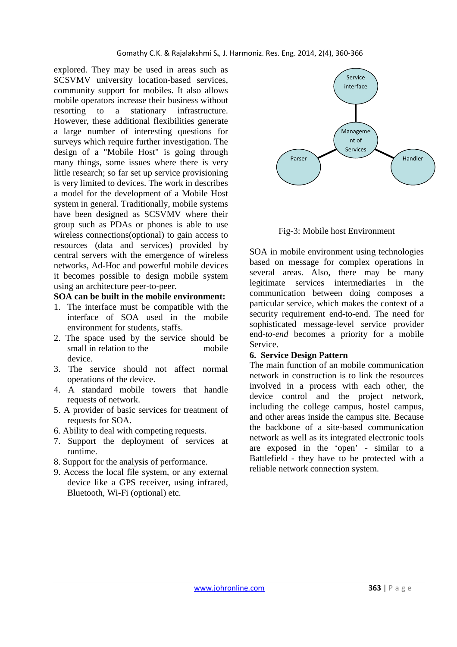explored. They may be used in areas such as SCSVMV university location-based services, community support for mobiles. It also allows mobile operators increase their business without resorting to a stationary infrastructure. However, these additional flexibilities generate a large number of interesting questions for surveys which require further investigation. The design of a "Mobile Host" is going through many things, some issues where there is very little research; so far set up service provisioning is very limited to devices. The work in describes a model for the development of a Mobile Host system in general. Traditionally, mobile systems have been designed as SCSVMV where their group such as PDAs or phones is able to use wireless connections(optional) to gain access to resources (data and services) provided by central servers with the emergence of wireless networks, Ad-Hoc and powerful mobile devices it becomes possible to design mobile system using an architecture peer-to-peer.

#### **SOA can be built in the mobile environment:**

- 1. The interface must be compatible with the interface of SOA used in the mobile environment for students, staffs.
- 2. The space used by the service should be small in relation to the mobile device.
- 3. The service should not affect normal operations of the device.
- 4. A standard mobile towers that handle requests of network.
- 5. A provider of basic services for treatment of requests for SOA.
- 6. Ability to deal with competing requests.
- 7. Support the deployment of services at runtime.
- 8. Support for the analysis of performance.
- 9. Access the local file system, or any external device like a GPS receiver, using infrared, Bluetooth, Wi-Fi (optional) etc.



Fig-3: Mobile host Environment

SOA in mobile environment using technologies based on message for complex operations in several areas. Also, there may be many legitimate services intermediaries in the communication between doing composes a particular service, which makes the context of a security requirement end-to-end. The need for sophisticated message-level service provider end*-to-end* becomes a priority for a mobile Service.

### **6. Service Design Pattern**

The main function of an mobile communication network in construction is to link the resources involved in a process with each other, the device control and the project network, including the college campus, hostel campus, and other areas inside the campus site. Because the backbone of a site-based communication network as well as its integrated electronic tools are exposed in the 'open' - similar to a Battlefield - they have to be protected with a reliable network connection system.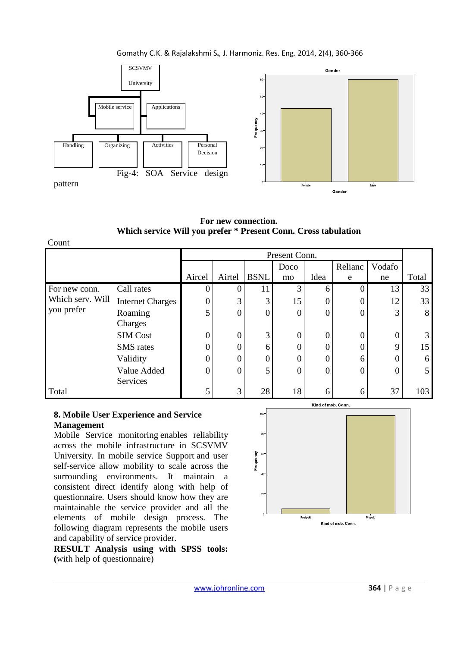### Gomathy C.K. & Rajalakshmi S**.***,* J. Harmoniz. Res. Eng. 2014, 2(4), 360-366



**For new connection. Which service Will you prefer \* Present Conn. Cross tabulation**

| Count                                           |                         |        |          |             |      |                  |         |        |       |
|-------------------------------------------------|-------------------------|--------|----------|-------------|------|------------------|---------|--------|-------|
|                                                 | Present Conn.           |        |          |             |      |                  |         |        |       |
|                                                 |                         |        |          |             | Doco |                  | Relianc | Vodafo |       |
|                                                 |                         | Aircel | Airtel   | <b>BSNL</b> | mo   | Idea             | e       | ne     | Total |
| For new conn.<br>Which serv. Will<br>you prefer | Call rates              |        |          | 11          | 3    | 6                |         | 13     | 33    |
|                                                 | <b>Internet Charges</b> |        | 3        | 3           | 15   | $\theta$         |         | 12     | 33    |
|                                                 | Roaming                 | 5      | $\Omega$ |             | O    | $\boldsymbol{0}$ | 0       | 3      | 8     |
|                                                 | Charges                 |        |          |             |      |                  |         |        |       |
|                                                 | <b>SIM Cost</b>         |        | $\Omega$ | 3           | O    | 0                |         | 0      | 3     |
|                                                 | <b>SMS</b> rates        |        | ∩        | 6           |      | 0                |         | Q      | 15    |
|                                                 | Validity                |        | 0        | 0           |      | 0                | 6       |        | 6     |
|                                                 | Value Added             | 0      | $\Omega$ | 5           | 0    | $\theta$         | 0       | 0      | 5     |
|                                                 | Services                |        |          |             |      |                  |         |        |       |
| Total                                           |                         |        | 3        | 28          | 18   | 6                | 6       | 37     | 103   |

### **8. Mobile User Experience and Service Management**

Mobile Service monitoring enables reliability across the mobile infrastructure in SCSVMV University. In mobile service Support and user self-service allow mobility to scale across the surrounding environments. It maintain a consistent direct identify along with help of questionnaire. Users should know how they are maintainable the service provider and all the elements of mobile design process. The following diagram represents the mobile users and capability of service provider.

**RESULT Analysis using with SPSS tools: (**with help of questionnaire)

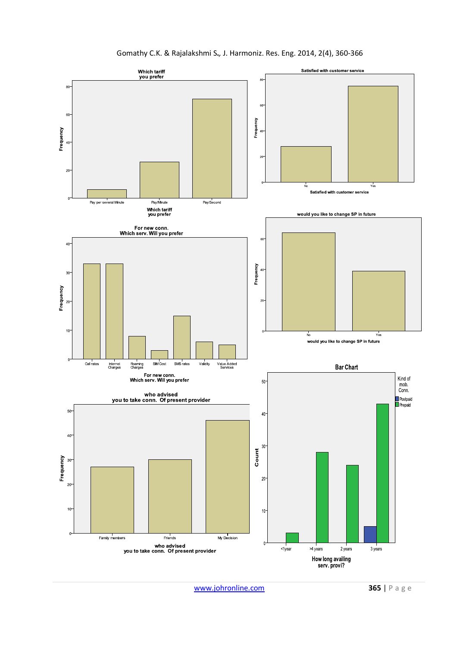

www.johronline.com **365** | P a g e